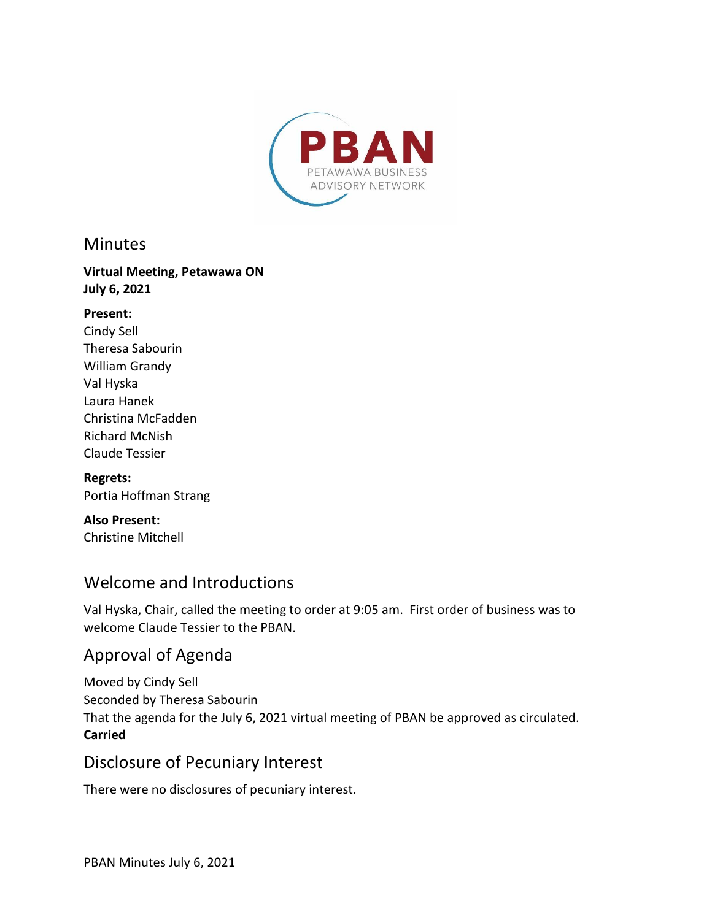

#### **Minutes**

#### **Virtual Meeting, Petawawa ON July 6, 2021**

#### **Present:**

Cindy Sell Theresa Sabourin William Grandy Val Hyska Laura Hanek Christina McFadden Richard McNish Claude Tessier

#### **Regrets:** Portia Hoffman Strang

**Also Present:**  Christine Mitchell

# Welcome and Introductions

Val Hyska, Chair, called the meeting to order at 9:05 am. First order of business was to welcome Claude Tessier to the PBAN.

# Approval of Agenda

Moved by Cindy Sell Seconded by Theresa Sabourin That the agenda for the July 6, 2021 virtual meeting of PBAN be approved as circulated. **Carried** 

## Disclosure of Pecuniary Interest

There were no disclosures of pecuniary interest.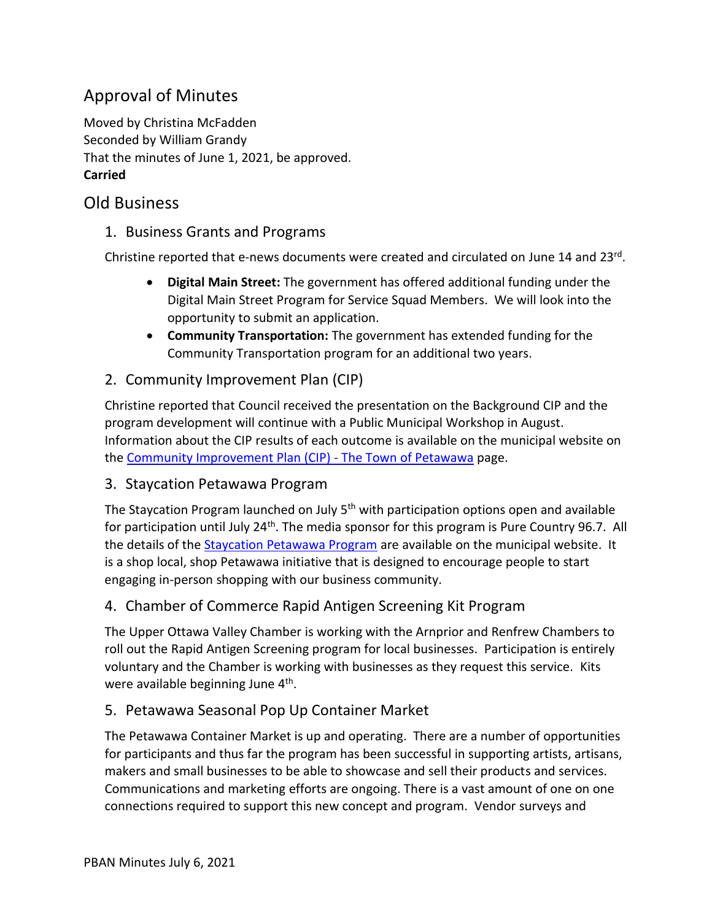# Approval of Minutes

Moved by Christina McFadden Seconded by William Grandy That the minutes of June 1, 2021, be approved. **Carried** 

# Old Business

1. Business Grants and Programs

Christine reported that e-news documents were created and circulated on June 14 and 23<sup>rd</sup>.

- **Digital Main Street:** The government has offered additional funding under the Digital Main Street Program for Service Squad Members. We will look into the opportunity to submit an application.
- **Community Transportation:** The government has extended funding for the Community Transportation program for an additional two years.
- 2. Community Improvement Plan (CIP)

Christine reported that Council received the presentation on the Background CIP and the program development will continue with a Public Municipal Workshop in August. Information about the CIP results of each outcome is available on the municipal website on the [Community Improvement Plan \(CIP\) - The Town of Petawawa](https://www.petawawa.ca/business/economic-development/community-improvement-plan-cip/) page.

#### 3. Staycation Petawawa Program

The Staycation Program launched on July 5<sup>th</sup> with participation options open and available for participation until July 24<sup>th</sup>. The media sponsor for this program is Pure Country 96.7. All the details of the [Staycation Petawawa Program](https://www.petawawa.ca/business/economic-development/staycation-petawawa-promotion/) are available on the municipal website. It is a shop local, shop Petawawa initiative that is designed to encourage people to start engaging in-person shopping with our business community.

### 4. Chamber of Commerce Rapid Antigen Screening Kit Program

The Upper Ottawa Valley Chamber is working with the Arnprior and Renfrew Chambers to roll out the Rapid Antigen Screening program for local businesses. Participation is entirely voluntary and the Chamber is working with businesses as they request this service. Kits were available beginning June 4<sup>th</sup>.

### 5. Petawawa Seasonal Pop Up Container Market

The Petawawa Container Market is up and operating. There are a number of opportunities for participants and thus far the program has been successful in supporting artists, artisans, makers and small businesses to be able to showcase and sell their products and services. Communications and marketing efforts are ongoing. There is a vast amount of one on one connections required to support this new concept and program. Vendor surveys and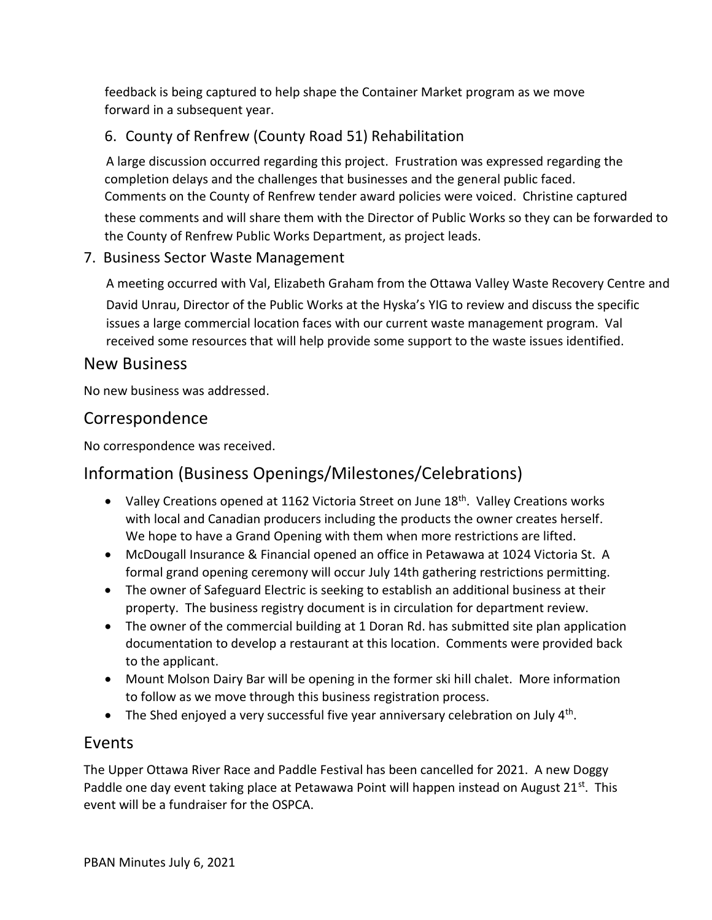feedback is being captured to help shape the Container Market program as we move forward in a subsequent year.

## 6. County of Renfrew (County Road 51) Rehabilitation

A large discussion occurred regarding this project. Frustration was expressed regarding the completion delays and the challenges that businesses and the general public faced. Comments on the County of Renfrew tender award policies were voiced. Christine captured these comments and will share them with the Director of Public Works so they can be forwarded to the County of Renfrew Public Works Department, as project leads.

#### 7. Business Sector Waste Management

A meeting occurred with Val, Elizabeth Graham from the Ottawa Valley Waste Recovery Centre and David Unrau, Director of the Public Works at the Hyska's YIG to review and discuss the specific issues a large commercial location faces with our current waste management program. Val received some resources that will help provide some support to the waste issues identified.

## New Business

No new business was addressed.

### Correspondence

No correspondence was received.

# Information (Business Openings/Milestones/Celebrations)

- Valley Creations opened at 1162 Victoria Street on June  $18<sup>th</sup>$ . Valley Creations works with local and Canadian producers including the products the owner creates herself. We hope to have a Grand Opening with them when more restrictions are lifted.
- McDougall Insurance & Financial opened an office in Petawawa at 1024 Victoria St. A formal grand opening ceremony will occur July 14th gathering restrictions permitting.
- The owner of Safeguard Electric is seeking to establish an additional business at their property. The business registry document is in circulation for department review.
- The owner of the commercial building at 1 Doran Rd. has submitted site plan application documentation to develop a restaurant at this location. Comments were provided back to the applicant.
- Mount Molson Dairy Bar will be opening in the former ski hill chalet. More information to follow as we move through this business registration process.
- $\bullet$  The Shed enjoyed a very successful five year anniversary celebration on July 4<sup>th</sup>.

## Events

The Upper Ottawa River Race and Paddle Festival has been cancelled for 2021. A new Doggy Paddle one day event taking place at Petawawa Point will happen instead on August  $21^{st}$ . This event will be a fundraiser for the OSPCA.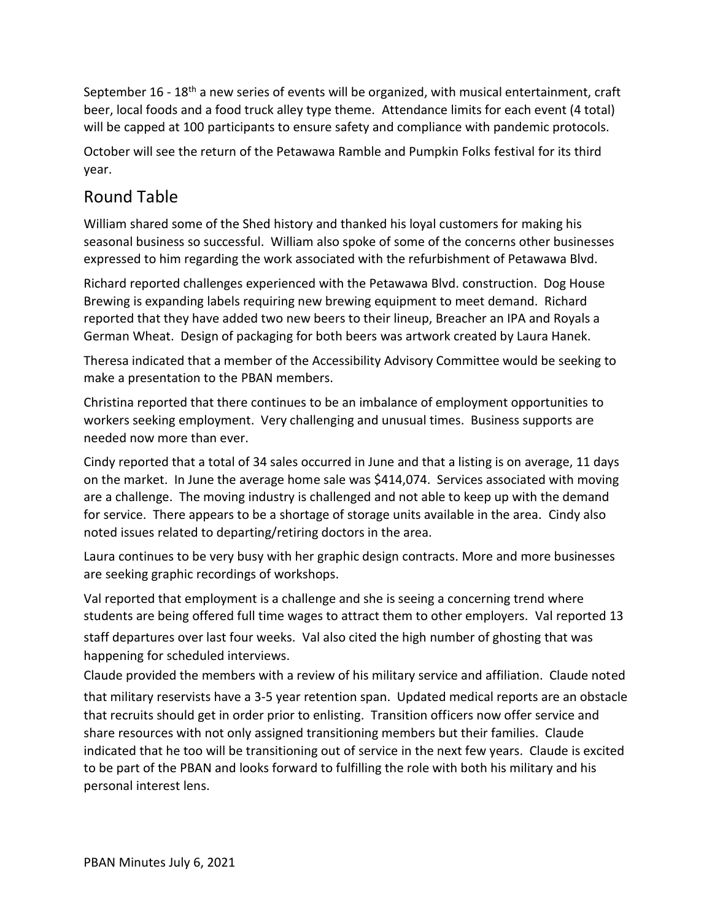September 16 - 18<sup>th</sup> a new series of events will be organized, with musical entertainment, craft beer, local foods and a food truck alley type theme. Attendance limits for each event (4 total) will be capped at 100 participants to ensure safety and compliance with pandemic protocols.

October will see the return of the Petawawa Ramble and Pumpkin Folks festival for its third year.

# Round Table

William shared some of the Shed history and thanked his loyal customers for making his seasonal business so successful. William also spoke of some of the concerns other businesses expressed to him regarding the work associated with the refurbishment of Petawawa Blvd.

Richard reported challenges experienced with the Petawawa Blvd. construction. Dog House Brewing is expanding labels requiring new brewing equipment to meet demand. Richard reported that they have added two new beers to their lineup, Breacher an IPA and Royals a German Wheat. Design of packaging for both beers was artwork created by Laura Hanek.

Theresa indicated that a member of the Accessibility Advisory Committee would be seeking to make a presentation to the PBAN members.

Christina reported that there continues to be an imbalance of employment opportunities to workers seeking employment. Very challenging and unusual times. Business supports are needed now more than ever.

Cindy reported that a total of 34 sales occurred in June and that a listing is on average, 11 days on the market. In June the average home sale was \$414,074. Services associated with moving are a challenge. The moving industry is challenged and not able to keep up with the demand for service. There appears to be a shortage of storage units available in the area. Cindy also noted issues related to departing/retiring doctors in the area.

Laura continues to be very busy with her graphic design contracts. More and more businesses are seeking graphic recordings of workshops.

Val reported that employment is a challenge and she is seeing a concerning trend where students are being offered full time wages to attract them to other employers. Val reported 13 staff departures over last four weeks. Val also cited the high number of ghosting that was happening for scheduled interviews.

Claude provided the members with a review of his military service and affiliation. Claude noted that military reservists have a 3-5 year retention span. Updated medical reports are an obstacle that recruits should get in order prior to enlisting. Transition officers now offer service and share resources with not only assigned transitioning members but their families. Claude indicated that he too will be transitioning out of service in the next few years. Claude is excited to be part of the PBAN and looks forward to fulfilling the role with both his military and his personal interest lens.